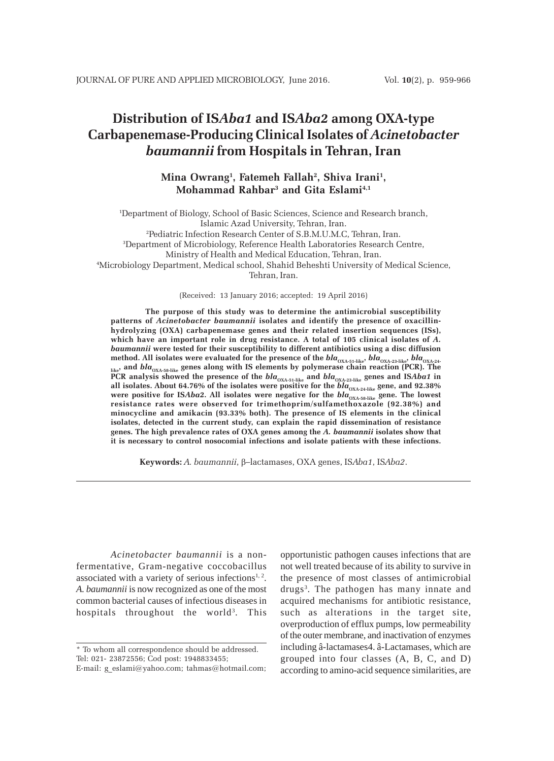# **Distribution of IS***Aba1* **and IS***Aba2* **among OXA-type Carbapenemase-Producing Clinical Isolates of** *Acinetobacter baumannii* **from Hospitals in Tehran, Iran**

# **Mina Owrang1 , Fatemeh Fallah2 , Shiva Irani1 , Mohammad Rahbar3 and Gita Eslami4,1**

1 Department of Biology, School of Basic Sciences, Science and Research branch, Islamic Azad University, Tehran, Iran. 2 Pediatric Infection Research Center of S.B.M.U.M.C, Tehran, Iran. 3 Department of Microbiology, Reference Health Laboratories Research Centre, Ministry of Health and Medical Education, Tehran, Iran. 4 Microbiology Department, Medical school, Shahid Beheshti University of Medical Science, Tehran, Iran.

(Received: 13 January 2016; accepted: 19 April 2016)

**The purpose of this study was to determine the antimicrobial susceptibility patterns of** *Acinetobacter baumannii* **isolates and identify the presence of oxacillinhydrolyzing (OXA) carbapenemase genes and their related insertion sequences (ISs),** which have an important role in drug resistance. A total of 105 clinical isolates of A. *baumannii* **were tested for their susceptibility to different antibiotics using a disc diffusion** method. All isolates were evaluated for the presence of the  $bla_{\rm OXA-51-like}, \, bla_{\rm OXA-23-like}, \, bla_{\rm OXA-24-}$ **like, and** *bla***OXA-58-like genes along with IS elements by polymerase chain reaction (PCR). The** like) and *DIA*<sub>OXA-58-like</sub> genes aroug with to exempt  $\sum_{J} P \sum_{J}$  and *bla*<sub>OXA-33</sub>-like</sub> genes and IS*Aba1* **in**<br>PCR analysis showed the presence of the *bla*<sub>OXA-51-like</sub> and *bla*<sub>OXA-23</sub>-like genes and 02.290<sup>2</sup> all isolates. About 64.76% of the isolates were positive for the *bla*<sub>OXA-24-like</sub> gene, and 92.38% were positive for IS*Aba2*. All isolates were negative for the *bla<sub>OXA-58-li*ke gene. The lowest<br>resistance rates were observed for trimethoprim/sulfamethoxazole (92.38%) and</sub> **minocycline and amikacin (93.33% both). The presence of IS elements in the clinical isolates, detected in the current study, can explain the rapid dissemination of resistance genes. The high prevalence rates of OXA genes among the** *A. baumannii* **isolates show that it is necessary to control nosocomial infections and isolate patients with these infections.**

**Keywords:** *A. baumannii*, β–lactamases, OXA genes, IS*Aba1*, IS*Aba2*.

*Acinetobacter baumannii* is a nonfermentative, Gram-negative coccobacillus associated with a variety of serious infections $1, 2$ . *A. baumannii* is now recognized as one of the most common bacterial causes of infectious diseases in hospitals throughout the world<sup>3</sup>. This

opportunistic pathogen causes infections that are not well treated because of its ability to survive in the presence of most classes of antimicrobial drugs<sup>3</sup>. The pathogen has many innate and acquired mechanisms for antibiotic resistance, such as alterations in the target site, overproduction of efflux pumps, low permeability of the outer membrane, and inactivation of enzymes including â-lactamases4. â-Lactamases, which are grouped into four classes (A, B, C, and D) according to amino-acid sequence similarities, are

<sup>\*</sup> To whom all correspondence should be addressed. Tel: 021- 23872556; Cod post: 1948833455;

E-mail: g\_eslami@yahoo.com; tahmas@hotmail.com;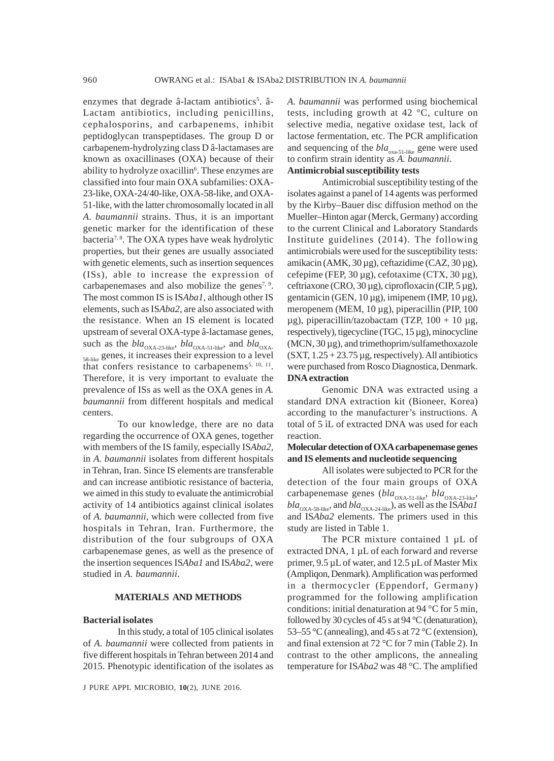enzymes that degrade â-lactam antibiotics<sup>5</sup>. â-Lactam antibiotics, including penicillins, cephalosporins, and carbapenems, inhibit peptidoglycan transpeptidases. The group D or carbapenem-hydrolyzing class D â-lactamases are known as oxacillinases (OXA) because of their ability to hydrolyze oxacillin<sup>6</sup>. These enzymes are classified into four main OXA subfamilies: OXA-23-like, OXA-24/40-like, OXA-58-like, and OXA-51-like, with the latter chromosomally located in all *A. baumannii* strains. Thus, it is an important genetic marker for the identification of these bacteria7, 8. The OXA types have weak hydrolytic properties, but their genes are usually associated with genetic elements, such as insertion sequences (ISs), able to increase the expression of carbapenemases and also mobilize the genes<sup>7, 9</sup>. The most common IS is IS*Aba1*, although other IS elements, such as IS*Aba2*, are also associated with the resistance. When an IS element is located upstream of several OXA-type â-lactamase genes, such as the  $bla_{\text{OXA-23-like}}$ ,  $bla_{\text{OXA-51-like}}$ , and  $bla_{\text{OXA-5}}$ 58-like genes, it increases their expression to a level that confers resistance to carbapenems<sup>5, 10, 11</sup>. Therefore, it is very important to evaluate the prevalence of ISs as well as the OXA genes in *A. baumannii* from different hospitals and medical centers.

To our knowledge, there are no data regarding the occurrence of OXA genes, together with members of the IS family, especially IS*Aba2*, in *A. baumannii* isolates from different hospitals in Tehran, Iran. Since IS elements are transferable and can increase antibiotic resistance of bacteria, we aimed in this study to evaluate the antimicrobial activity of 14 antibiotics against clinical isolates of *A. baumannii*, which were collected from five hospitals in Tehran, Iran. Furthermore, the distribution of the four subgroups of OXA carbapenemase genes, as well as the presence of the insertion sequences IS*Aba1* and IS*Aba2*, were studied in *A. baumannii*.

### **MATERIALS AND METHODS**

### **Bacterial isolates**

In this study, a total of 105 clinical isolates of *A. baumannii* were collected from patients in five different hospitals in Tehran between 2014 and 2015. Phenotypic identification of the isolates as

J PURE APPL MICROBIO, 
$$
10(2)
$$
, JUNE 2016.

*A. baumannii* was performed using biochemical tests, including growth at 42 °C, culture on selective media, negative oxidase test, lack of lactose fermentation, etc. The PCR amplification and sequencing of the *bla*<sub>oxa-51-like</sub> gene were used to confirm strain identity as *A. baumannii*. **Antimicrobial susceptibility tests**

Antimicrobial susceptibility testing of the isolates against a panel of 14 agents was performed by the Kirby–Bauer disc diffusion method on the Mueller–Hinton agar (Merck, Germany) according to the current Clinical and Laboratory Standards Institute guidelines (2014). The following antimicrobials were used for the susceptibility tests: amikacin (AMK, 30 µg), ceftazidime (CAZ, 30 µg), cefepime (FEP,  $30 \mu$ g), cefotaxime (CTX,  $30 \mu$ g), ceftriaxone (CRO,  $30 \mu$ g), ciprofloxacin (CIP,  $5 \mu$ g), gentamicin (GEN, 10 µg), imipenem (IMP, 10 µg), meropenem (MEM, 10 µg), piperacillin (PIP, 100  $\mu$ g), piperacillin/tazobactam (TZP, 100 + 10  $\mu$ g, respectively), tigecycline (TGC, 15 µg), minocycline (MCN, 30 µg), and trimethoprim/sulfamethoxazole  $(SXT, 1.25 + 23.75 \mu g, respectively)$ . All antibiotics were purchased from Rosco Diagnostica, Denmark. **DNA extraction**

Genomic DNA was extracted using a standard DNA extraction kit (Bioneer, Korea) according to the manufacturer's instructions. A total of 5 ìL of extracted DNA was used for each reaction.

### **Molecular detection of OXA carbapenemase genes and IS elements and nucleotide sequencing**

All isolates were subjected to PCR for the detection of the four main groups of OXA carbapenemase genes ( $bla_{\text{OXA-51-like}}$ ,  $bla_{\text{OXA-23-like}}$ ,  $bla_{\rm OXA-58\text{-like}}$ , and  $bla_{\rm OXA-24\text{-like}}$ ), as well as the IS*Aba1* and IS*Aba2* elements. The primers used in this study are listed in Table 1.

The PCR mixture contained 1 µL of extracted DNA, 1 µL of each forward and reverse primer, 9.5 µL of water, and 12.5 µL of Master Mix (Ampliqon, Denmark). Amplification was performed in a thermocycler (Eppendorf, Germany) programmed for the following amplification conditions: initial denaturation at 94 °C for 5 min, followed by 30 cycles of 45 s at 94 °C (denaturation), 53–55 °C (annealing), and 45 s at 72 °C (extension), and final extension at 72 °C for 7 min (Table 2). In contrast to the other amplicons, the annealing temperature for IS*Aba2* was 48 °C. The amplified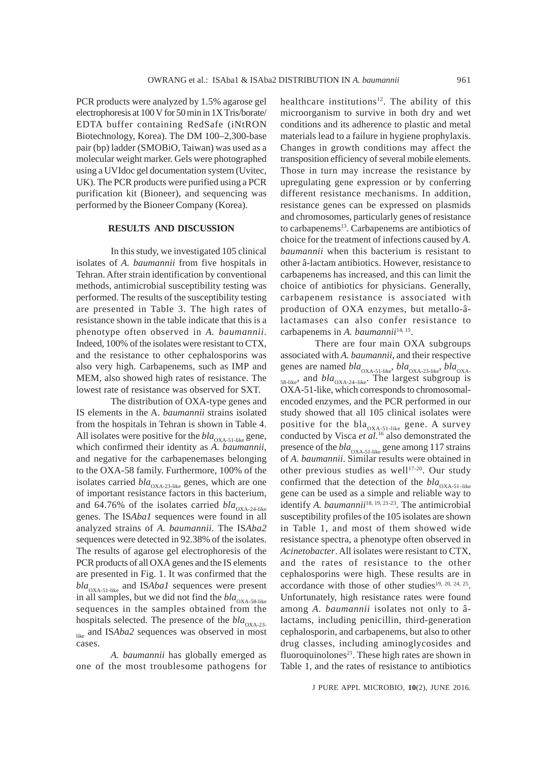PCR products were analyzed by 1.5% agarose gel electrophoresis at 100 V for 50 min in 1X Tris/borate/ EDTA buffer containing RedSafe (iNtRON Biotechnology, Korea). The DM 100–2,300-base pair (bp) ladder (SMOBiO, Taiwan) was used as a molecular weight marker. Gels were photographed using a UVIdoc gel documentation system (Uvitec, UK). The PCR products were purified using a PCR purification kit (Bioneer), and sequencing was performed by the Bioneer Company (Korea).

### **RESULTS AND DISCUSSION**

In this study, we investigated 105 clinical isolates of *A. baumannii* from five hospitals in Tehran. After strain identification by conventional methods, antimicrobial susceptibility testing was performed. The results of the susceptibility testing are presented in Table 3. The high rates of resistance shown in the table indicate that this is a phenotype often observed in *A. baumannii*. Indeed, 100% of the isolates were resistant to CTX, and the resistance to other cephalosporins was also very high. Carbapenems, such as IMP and MEM, also showed high rates of resistance. The lowest rate of resistance was observed for SXT.

The distribution of OXA-type genes and IS elements in the A. *baumannii* strains isolated from the hospitals in Tehran is shown in Table 4. All isolates were positive for the  $bla_{\text{OXA-51-like}}$  gene, which confirmed their identity as *A. baumannii*, and negative for the carbapenemases belonging to the OXA-58 family. Furthermore, 100% of the isolates carried  $bla_{\text{OXA-23-like}}$  genes, which are one of important resistance factors in this bacterium, and 64.76% of the isolates carried  $bla_{OXA-24-like}$ genes. The IS*Aba1* sequences were found in all analyzed strains of *A. baumannii*. The IS*Aba2* sequences were detected in 92.38% of the isolates. The results of agarose gel electrophoresis of the PCR products of all OXA genes and the IS elements are presented in Fig. 1. It was confirmed that the bla<sub>OXA-51-like</sub> and ISAba1 sequences were present in all samples, but we did not find the  $bla_{\text{OXA-58-like}}$ sequences in the samples obtained from the hospitals selected. The presence of the *bla*<sub>OXA-23-</sub>

like and ISAba2 sequences was observed in most cases.

*A. baumannii* has globally emerged as one of the most troublesome pathogens for healthcare institutions<sup>12</sup>. The ability of this microorganism to survive in both dry and wet conditions and its adherence to plastic and metal materials lead to a failure in hygiene prophylaxis. Changes in growth conditions may affect the transposition efficiency of several mobile elements. Those in turn may increase the resistance by upregulating gene expression or by conferring different resistance mechanisms. In addition, resistance genes can be expressed on plasmids and chromosomes, particularly genes of resistance to carbapenems<sup>13</sup>. Carbapenems are antibiotics of choice for the treatment of infections caused by *A. baumannii* when this bacterium is resistant to other â-lactam antibiotics. However, resistance to carbapenems has increased, and this can limit the choice of antibiotics for physicians. Generally, carbapenem resistance is associated with production of OXA enzymes, but metallo-âlactamases can also confer resistance to carbapenems in *A. baumannii*14, 15.

There are four main OXA subgroups associated with *A. baumannii*, and their respective genes are named *bla*<sub>OXA-51-like</sub>, *bla*<sub>OXA-23-like</sub>, *bla*<sub>OXA-</sub>  $_{58\text{-like}}$ , and  $bla_{\text{OXA-24-like}}$ . The largest subgroup is OXA-51-like, which corresponds to chromosomalencoded enzymes, and the PCR performed in our study showed that all 105 clinical isolates were positive for the bla<sub>OXA-51-like</sub> gene. A survey conducted by Visca *et al.*16 also demonstrated the presence of the *bla*<sub>OXA-51-like</sub> gene among 117 strains of *A. baumannii*. Similar results were obtained in other previous studies as well $17-20$ . Our study confirmed that the detection of the  $bla_{\text{OXA-51-like}}$ gene can be used as a simple and reliable way to identify *A. baumannii*<sup>18, 19, 21-23</sup>. The antimicrobial susceptibility profiles of the 105 isolates are shown in Table 1, and most of them showed wide resistance spectra, a phenotype often observed in *Acinetobacter*. All isolates were resistant to CTX, and the rates of resistance to the other cephalosporins were high. These results are in accordance with those of other studies<sup>19, 20, 24, 25</sup>. Unfortunately, high resistance rates were found among *A. baumannii* isolates not only to âlactams, including penicillin, third-generation cephalosporin, and carbapenems, but also to other drug classes, including aminoglycosides and fluoroquinolones $21$ . These high rates are shown in Table 1, and the rates of resistance to antibiotics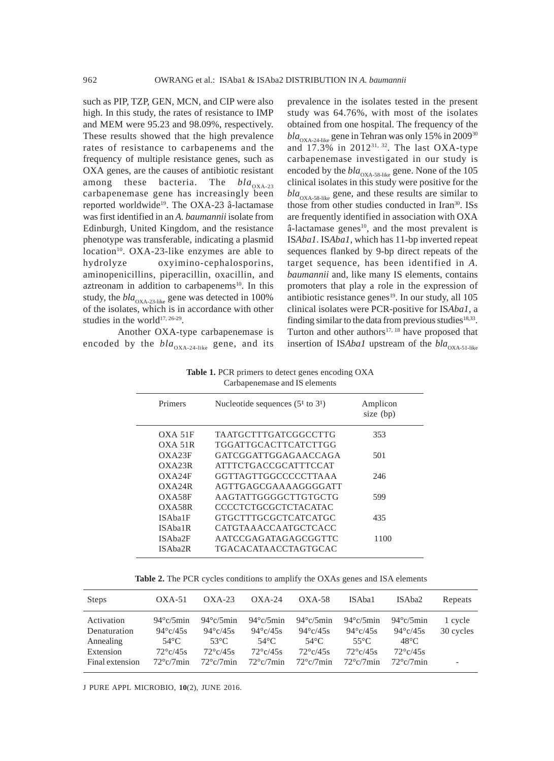such as PIP, TZP, GEN, MCN, and CIP were also high. In this study, the rates of resistance to IMP and MEM were 95.23 and 98.09%, respectively. These results showed that the high prevalence rates of resistance to carbapenems and the frequency of multiple resistance genes, such as OXA genes, are the causes of antibiotic resistant among these bacteria. The *bla*<sub>OXA-23</sub> carbapenemase gene has increasingly been reported worldwide<sup>19</sup>. The OXA-23 â-lactamase was first identified in an *A. baumannii* isolate from Edinburgh, United Kingdom, and the resistance phenotype was transferable, indicating a plasmid  $location<sup>10</sup>$ . OXA-23-like enzymes are able to hydrolyze oxyimino-cephalosporins, aminopenicillins, piperacillin, oxacillin, and aztreonam in addition to carbapenems<sup>10</sup>. In this study, the  $bla_{\rm OXA\text{-}23\text{-like}}$  gene was detected in 100% of the isolates, which is in accordance with other studies in the world<sup>17, 26-29</sup>.

Another OXA-type carbapenemase is encoded by the  $bla_{\text{OXA-24-like}}$  gene, and its prevalence in the isolates tested in the present study was 64.76%, with most of the isolates obtained from one hospital. The frequency of the  $bla_{\rm OXA\text{-}24\text{-like}}$  gene in Tehran was only 15% in 2009 $^{30}$ and  $17.3\%$  in  $2012^{31,32}$ . The last OXA-type carbapenemase investigated in our study is encoded by the  $bla_{\text{OXA-58-like}}$  gene. None of the 105 clinical isolates in this study were positive for the  $bla<sub>OXA-58-like</sub>$  gene, and these results are similar to those from other studies conducted in Iran<sup>30</sup>. ISs are frequently identified in association with OXA  $\hat{a}$ -lactamase genes<sup>10</sup>, and the most prevalent is IS*Aba1*. IS*Aba1*, which has 11-bp inverted repeat sequences flanked by 9-bp direct repeats of the target sequence, has been identified in *A. baumannii* and, like many IS elements, contains promoters that play a role in the expression of antibiotic resistance genes $19$ . In our study, all 105 clinical isolates were PCR-positive for IS*Aba1*, a finding similar to the data from previous studies<sup>18,33</sup>. Turton and other authors $17, 18$  have proposed that insertion of IS*Aba1* upstream of the *bla*<sub>OXA-51-like</sub>

**Table 1.** PCR primers to detect genes encoding OXA Carbapenemase and IS elements

| Primers   | Nucleotide sequences $(51$ to $31)$ | Amplicon<br>size (bp) |
|-----------|-------------------------------------|-----------------------|
| OXA 51F   | TA ATGCTTTG ATCGGCCTTG              | 353                   |
| OXA 51R   | TGGATTGCACTTCATCTTGG                |                       |
| OXA23F    | GATCGGATTGGAGAACCAGA                | 501                   |
| $OX$ A23R | <b>ATTTCTGACCGCATTTCCAT</b>         |                       |
| OXA24F    | GGTTAGTTGGCCCCCTTAAA                | 246                   |
| OXA24R    | AGTTGAGCGAAAAGGGGATT                |                       |
| OXA58F    | AAGTATTGGGGCTTGTGCTG                | 599                   |
| OXA58R    | CCCCTCTGCGCTCTACATAC                |                       |
| ISAba1F   | GTGCTTTGCGCTCATCATGC                | 435                   |
| ISAba1R   | CATGTAAACCAATGCTCACC                |                       |
| ISAba2F   | AATCCGAGATAGAGCGGTTC                | 1100                  |
| ISAba2R   | TGACACATAACCTAGTGCAC                |                       |
|           |                                     |                       |

**Table 2.** The PCR cycles conditions to amplify the OXAs genes and ISA elements

| <b>Steps</b>                                                            | $OXA-51$                                                                                                 | $OXA-23$                                                                                               | $OXA-24$                                                                                                 | $OXA-58$                                                                                        | ISAba1                                                                                                   | ISAba2                                                                                                               | Repeats                                          |
|-------------------------------------------------------------------------|----------------------------------------------------------------------------------------------------------|--------------------------------------------------------------------------------------------------------|----------------------------------------------------------------------------------------------------------|-------------------------------------------------------------------------------------------------|----------------------------------------------------------------------------------------------------------|----------------------------------------------------------------------------------------------------------------------|--------------------------------------------------|
| Activation<br>Denaturation<br>Annealing<br>Extension<br>Final extension | $94^{\circ}$ c/5min<br>$94^{\circ}$ c/45s<br>$54^{\circ}$ C<br>$72^{\circ}$ c/45s<br>$72^{\circ}$ c/7min | $94^{\circ}$ c/5min<br>$94^{\circ}$ c/45s<br>$53^{\circ}$ C<br>$72^\circ$ c/45s<br>$72^{\circ}c/7$ min | $94^{\circ}$ c/5min<br>$94^{\circ}$ c/45s<br>$54^{\circ}$ C<br>$72^{\circ}$ c/45s<br>$72^{\circ}c/7$ min | $94^{\circ}$ c/5min<br>$94^{\circ}$ c/45s<br>54°C.<br>$72^{\circ}$ c/45s<br>$72^{\circ}c/7$ min | $94^{\circ}$ c/5min<br>$94^{\circ}$ c/45s<br>$55^{\circ}$ C<br>$72^{\circ}$ c/45s<br>$72^{\circ}c/7$ min | $94^{\circ}$ c/5min<br>$94^\circ \text{c}/45\text{s}$<br>$48^{\circ}$ C<br>$72^{\circ}$ c/45s<br>$72^{\circ}c/7$ min | 1 cycle<br>30 cycles<br>$\overline{\phantom{0}}$ |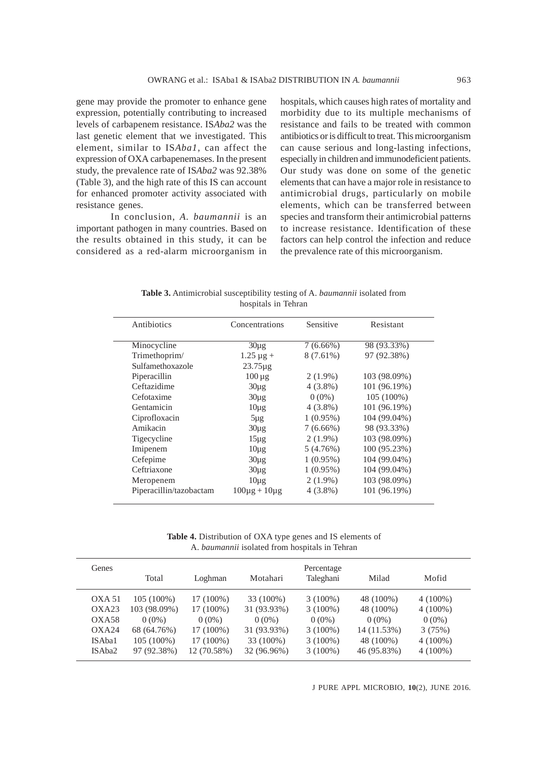gene may provide the promoter to enhance gene expression, potentially contributing to increased levels of carbapenem resistance. IS*Aba2* was the last genetic element that we investigated. This element, similar to IS*Aba1*, can affect the expression of OXA carbapenemases. In the present study, the prevalence rate of IS*Aba2* was 92.38% (Table 3), and the high rate of this IS can account for enhanced promoter activity associated with resistance genes.

In conclusion, *A. baumannii* is an important pathogen in many countries. Based on the results obtained in this study, it can be considered as a red-alarm microorganism in

hospitals, which causes high rates of mortality and morbidity due to its multiple mechanisms of resistance and fails to be treated with common antibiotics or is difficult to treat. This microorganism can cause serious and long-lasting infections, especially in children and immunodeficient patients. Our study was done on some of the genetic elements that can have a major role in resistance to antimicrobial drugs, particularly on mobile elements, which can be transferred between species and transform their antimicrobial patterns to increase resistance. Identification of these factors can help control the infection and reduce the prevalence rate of this microorganism.

**Table 3.** Antimicrobial susceptibility testing of A. *baumannii* isolated from hospitals in Tehran

| Antibiotics             | Concentrations         | Sensitive   | Resistant                |
|-------------------------|------------------------|-------------|--------------------------|
| Minocycline             | $30\mu$ g              | $7(6.66\%)$ | $\overline{98}$ (93.33%) |
| Trimethoprim/           | $1.25 \mu g +$         | $8(7.61\%)$ | 97 (92.38%)              |
| Sulfamethoxazole        | $23.75\mu$ g           |             |                          |
| Piperacillin            | $100 \mu g$            | $2(1.9\%)$  | 103 (98.09%)             |
| Ceftazidime             | $30\mu$ g              | $4(3.8\%)$  | 101 (96.19%)             |
| Cefotaxime              | $30\mu$ g              | $0(0\%)$    | $105(100\%)$             |
| Gentamicin              | $10\mu$ g              | $4(3.8\%)$  | 101 (96.19%)             |
| Ciprofloxacin           | $5\mu$ g               | $1(0.95\%)$ | 104 (99.04%)             |
| Amikacin                | $30\mu$ g              | $7(6.66\%)$ | 98 (93.33%)              |
| Tigecycline             | $15\mu$ g              | $2(1.9\%)$  | 103 (98.09%)             |
| Imipenem                | $10\mu$ g              | 5(4.76%)    | 100 (95.23%)             |
| Cefepime                | $30\mu$ g              | $1(0.95\%)$ | 104 (99.04%)             |
| Ceftriaxone             | $30\mu$ g              | $1(0.95\%)$ | 104 (99.04%)             |
| Meropenem               | $10\mu$ g              | $2(1.9\%)$  | 103 (98.09%)             |
| Piperacillin/tazobactam | $100\mu$ g + $10\mu$ g | $4(3.8\%)$  | 101 (96.19%)             |

**Table 4.** Distribution of OXA type genes and IS elements of A. *baumannii* isolated from hospitals in Tehran

| Genes  | Total        | Loghman     | Motahari    | Percentage<br>Taleghani | Milad       | Mofid      |
|--------|--------------|-------------|-------------|-------------------------|-------------|------------|
| OXA 51 | $105(100\%)$ | 17 (100%)   | 33 (100%)   | $3(100\%)$              | 48 (100%)   | $4(100\%)$ |
| OXA23  | 103 (98.09%) | 17 (100%)   | 31 (93.93%) | $3(100\%)$              | 48 (100%)   | $4(100\%)$ |
| OXA58  | $0(0\%)$     | $0(0\%)$    | $0(0\%)$    | $0(0\%)$                | $0(0\%)$    | $0(0\%)$   |
| OXA24  | 68 (64.76%)  | 17 (100%)   | 31 (93.93%) | $3(100\%)$              | 14 (11.53%) | 3(75%)     |
| ISAba1 | $105(100\%)$ | 17 (100%)   | 33 (100%)   | $3(100\%)$              | 48 (100%)   | $4(100\%)$ |
| ISAba2 | 97 (92.38%)  | 12 (70.58%) | 32 (96.96%) | $3(100\%)$              | 46 (95.83%) | $4(100\%)$ |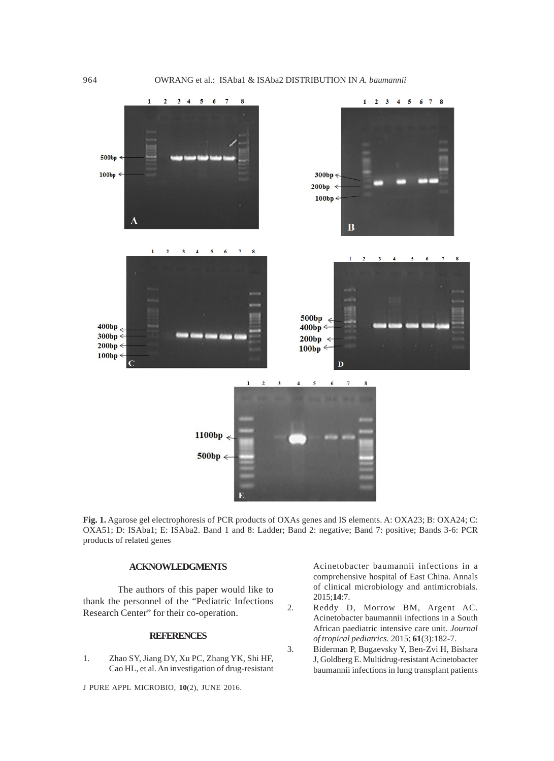

**Fig. 1.** Agarose gel electrophoresis of PCR products of OXAs genes and IS elements. A: OXA23; B: OXA24; C: OXA51; D: ISAba1; E: ISAba2. Band 1 and 8: Ladder; Band 2: negative; Band 7: positive; Bands 3-6: PCR products of related genes

# **ACKNOWLEDGMENTS**

The authors of this paper would like to thank the personnel of the "Pediatric Infections Research Center" for their co-operation.

### **REFERENCES**

1. Zhao SY, Jiang DY, Xu PC, Zhang YK, Shi HF, Cao HL, et al. An investigation of drug-resistant

J PURE APPL MICROBIO*,* **10**(2), JUNE 2016.

Acinetobacter baumannii infections in a comprehensive hospital of East China. Annals of clinical microbiology and antimicrobials. 2015;**14**:7.

- 2. Reddy D, Morrow BM, Argent AC. Acinetobacter baumannii infections in a South African paediatric intensive care unit. *Journal of tropical pediatrics.* 2015; **61**(3):182-7.
- 3. Biderman P, Bugaevsky Y, Ben-Zvi H, Bishara J, Goldberg E. Multidrug-resistant Acinetobacter baumannii infections in lung transplant patients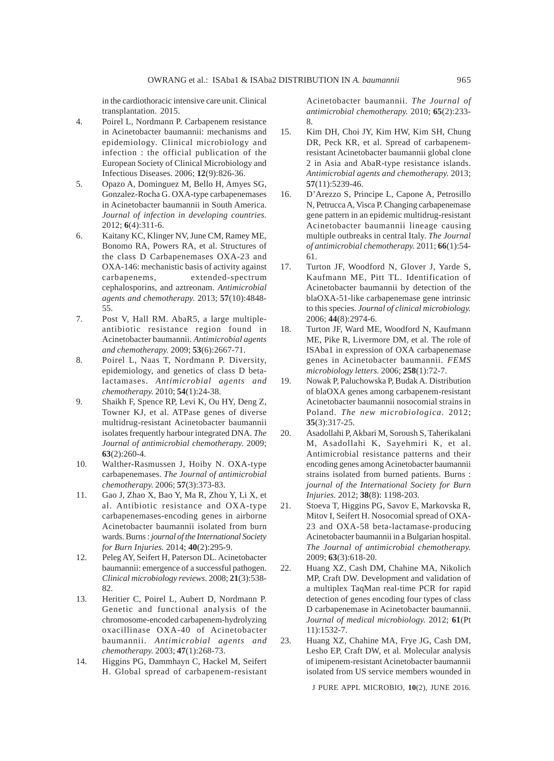in the cardiothoracic intensive care unit. Clinical transplantation. 2015.

- 4. Poirel L, Nordmann P. Carbapenem resistance in Acinetobacter baumannii: mechanisms and epidemiology. Clinical microbiology and infection : the official publication of the European Society of Clinical Microbiology and Infectious Diseases. 2006; **12**(9):826-36.
- 5. Opazo A, Dominguez M, Bello H, Amyes SG, Gonzalez-Rocha G. OXA-type carbapenemases in Acinetobacter baumannii in South America. *Journal of infection in developing countries.* 2012; **6**(4):311-6.
- 6. Kaitany KC, Klinger NV, June CM, Ramey ME, Bonomo RA, Powers RA, et al. Structures of the class D Carbapenemases OXA-23 and OXA-146: mechanistic basis of activity against carbapenems, extended-spectrum cephalosporins, and aztreonam. *Antimicrobial agents and chemotherapy.* 2013; **57**(10):4848- 55.
- 7. Post V, Hall RM. AbaR5, a large multipleantibiotic resistance region found in Acinetobacter baumannii. *Antimicrobial agents and chemotherapy.* 2009; **53**(6):2667-71.
- 8. Poirel L, Naas T, Nordmann P. Diversity, epidemiology, and genetics of class D betalactamases. *Antimicrobial agents and chemotherapy.* 2010; **54**(1):24-38.
- 9. Shaikh F, Spence RP, Levi K, Ou HY, Deng Z, Towner KJ, et al. ATPase genes of diverse multidrug-resistant Acinetobacter baumannii isolates frequently harbour integrated DNA. *The Journal of antimicrobial chemotherapy.* 2009; **63**(2):260-4.
- 10. Walther-Rasmussen J, Hoiby N. OXA-type carbapenemases. *The Journal of antimicrobial chemotherapy.* 2006; **57**(3):373-83.
- 11. Gao J, Zhao X, Bao Y, Ma R, Zhou Y, Li X, et al. Antibiotic resistance and OXA-type carbapenemases-encoding genes in airborne Acinetobacter baumannii isolated from burn wards. Burns : *journal of the International Society for Burn Injuries.* 2014; **40**(2):295-9.
- 12. Peleg AY, Seifert H, Paterson DL. Acinetobacter baumannii: emergence of a successful pathogen. *Clinical microbiology reviews.* 2008; **21**(3):538- 82.
- 13. Heritier C, Poirel L, Aubert D, Nordmann P. Genetic and functional analysis of the chromosome-encoded carbapenem-hydrolyzing oxacillinase OXA-40 of Acinetobacter baumannii. *Antimicrobial agents and chemotherapy.* 2003; **47**(1):268-73.
- 14. Higgins PG, Dammhayn C, Hackel M, Seifert H. Global spread of carbapenem-resistant

Acinetobacter baumannii. *The Journal of antimicrobial chemotherapy.* 2010; **65**(2):233- 8.

- 15. Kim DH, Choi JY, Kim HW, Kim SH, Chung DR, Peck KR, et al. Spread of carbapenemresistant Acinetobacter baumannii global clone 2 in Asia and AbaR-type resistance islands. *Antimicrobial agents and chemotherapy.* 2013; **57**(11):5239-46.
- 16. D'Arezzo S, Principe L, Capone A, Petrosillo N, Petrucca A, Visca P. Changing carbapenemase gene pattern in an epidemic multidrug-resistant Acinetobacter baumannii lineage causing multiple outbreaks in central Italy. *The Journal of antimicrobial chemotherapy.* 2011; **66**(1):54- 61.
- 17. Turton JF, Woodford N, Glover J, Yarde S, Kaufmann ME, Pitt TL. Identification of Acinetobacter baumannii by detection of the blaOXA-51-like carbapenemase gene intrinsic to this species. *Journal of clinical microbiology.* 2006; **44**(8):2974-6.
- 18. Turton JF, Ward ME, Woodford N, Kaufmann ME, Pike R, Livermore DM, et al. The role of ISAba1 in expression of OXA carbapenemase genes in Acinetobacter baumannii*. FEMS microbiology letters.* 2006; **258**(1):72-7.
- 19. Nowak P, Paluchowska P, Budak A. Distribution of blaOXA genes among carbapenem-resistant Acinetobacter baumannii nosocomial strains in Poland. *The new microbiologica.* 2012; **35**(3):317-25.
- 20. Asadollahi P, Akbari M, Soroush S, Taherikalani M, Asadollahi K, Sayehmiri K, et al. Antimicrobial resistance patterns and their encoding genes among Acinetobacter baumannii strains isolated from burned patients. Burns : *journal of the International Society for Burn Injuries.* 2012; **38**(8): 1198-203.
- 21. Stoeva T, Higgins PG, Savov E, Markovska R, Mitov I, Seifert H. Nosocomial spread of OXA-23 and OXA-58 beta-lactamase-producing Acinetobacter baumannii in a Bulgarian hospital. *The Journal of antimicrobial chemotherapy.* 2009; **63**(3):618-20.
- 22. Huang XZ, Cash DM, Chahine MA, Nikolich MP, Craft DW. Development and validation of a multiplex TaqMan real-time PCR for rapid detection of genes encoding four types of class D carbapenemase in Acinetobacter baumannii. *Journal of medical microbiology.* 2012; **61**(Pt 11):1532-7.
- 23. Huang XZ, Chahine MA, Frye JG, Cash DM, Lesho EP, Craft DW, et al. Molecular analysis of imipenem-resistant Acinetobacter baumannii isolated from US service members wounded in